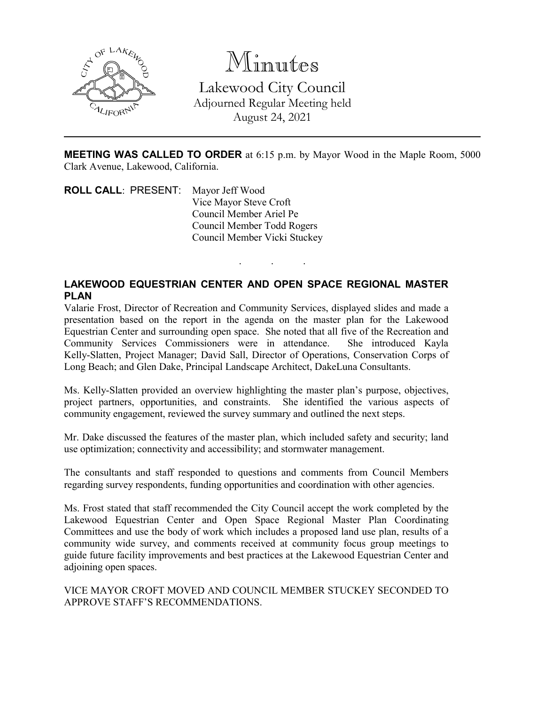

Minutes Lakewood City Council Adjourned Regular Meeting held August 24, 2021

**MEETING WAS CALLED TO ORDER** at 6:15 p.m. by Mayor Wood in the Maple Room, 5000 Clark Avenue, Lakewood, California.

. . .

**ROLL CALL**: PRESENT: Mayor Jeff Wood Vice Mayor Steve Croft Council Member Ariel Pe Council Member Todd Rogers Council Member Vicki Stuckey

## **LAKEWOOD EQUESTRIAN CENTER AND OPEN SPACE REGIONAL MASTER PLAN**

Valarie Frost, Director of Recreation and Community Services, displayed slides and made a presentation based on the report in the agenda on the master plan for the Lakewood Equestrian Center and surrounding open space. She noted that all five of the Recreation and Community Services Commissioners were in attendance. She introduced Kayla Kelly-Slatten, Project Manager; David Sall, Director of Operations, Conservation Corps of Long Beach; and Glen Dake, Principal Landscape Architect, DakeLuna Consultants.

Ms. Kelly-Slatten provided an overview highlighting the master plan's purpose, objectives, project partners, opportunities, and constraints. She identified the various aspects of community engagement, reviewed the survey summary and outlined the next steps.

Mr. Dake discussed the features of the master plan, which included safety and security; land use optimization; connectivity and accessibility; and stormwater management.

The consultants and staff responded to questions and comments from Council Members regarding survey respondents, funding opportunities and coordination with other agencies.

Ms. Frost stated that staff recommended the City Council accept the work completed by the Lakewood Equestrian Center and Open Space Regional Master Plan Coordinating Committees and use the body of work which includes a proposed land use plan, results of a community wide survey, and comments received at community focus group meetings to guide future facility improvements and best practices at the Lakewood Equestrian Center and adjoining open spaces.

VICE MAYOR CROFT MOVED AND COUNCIL MEMBER STUCKEY SECONDED TO APPROVE STAFF'S RECOMMENDATIONS.